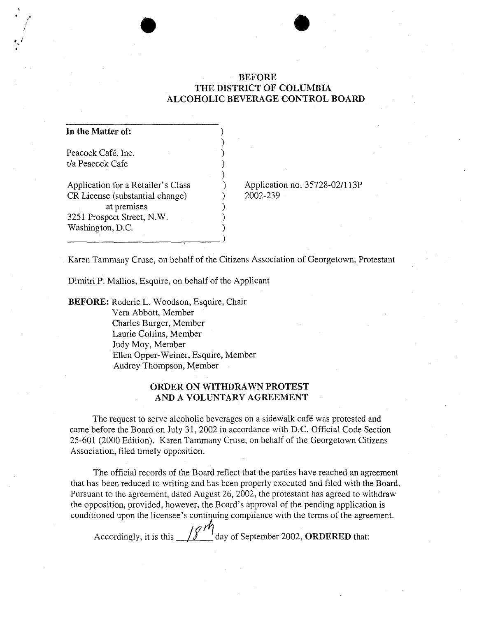# BEFORE THE DISTRICT OF COLUMBIA ALCOHOLIC BEVERAGE CONTROL BOARD

 $\bullet$ 

| In the Matter of:                  |  |
|------------------------------------|--|
| Peacock Café, Inc.                 |  |
| t/a Peacock Cafe                   |  |
| Application for a Retailer's Class |  |
| CR License (substantial change)    |  |
| at premises                        |  |
| 3251 Prospect Street, N.W.         |  |
| Washington, D.C.                   |  |
|                                    |  |

----------------~---)

Application no. 35728-021l13P 2002-239

Karen Tammany Cruse, on behalf of the Citizens Association of Georgetown, Protestant

Dimitri P. Mallios, Esquire, on behalf of the Applicant

BEFORE: Roderic L. Woodson, Esquire, Chair Vera Abbott, Member Charles Burger, Member Laurie Collins, Member Judy Moy, Member Ellen Opper-Weiner, Esquire, Member Audrey Thompson, Member

# ORDER ON WITHDRAWN PROTEST AND A VOLUNTARY AGREEMENT

The request to serve alcoholic beverages on a sidewalk café was protested and came before the Board on July 31, 2002 in accordance with D.C. Official Code Section 25-601 (2000 Edition). Karen TammanyCruse, on behalf of the Georgetown Citizens Association, filed timely opposition.

The official records of the Board reflect that the parties have reached an agreement that has been reduced to writing and has been properly executed and filed with the Board. Pursuant to the agreement, dated August 26, 2002, the protestant has agreed to withdraw the opposition, provided, however, the Board's approval of the pending application is conditioned upon the licensee's continuing compliance with the terms of the agreement.

Accordingly, it is this  $\frac{1}{8}$  day of September 2002, ORDERED that: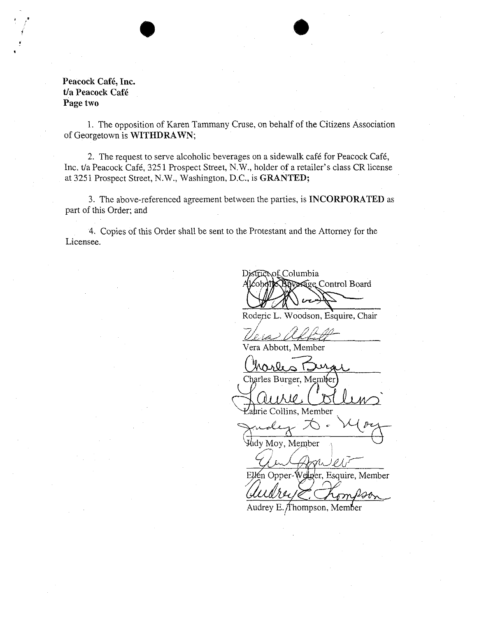**Peacock Cafe, Inc. Ua Peacock Cafe Page two** 

, .

> 1. The opposition of Karen Tammany Cruse, on behalf of the Citizens Association of Georgetown is **WITHDRAWN;**

 $\bullet$ 

2. The request to serve alcoholic beverages on a sidewalk cafe for Peacock Cafe, Inc. tJa Peacock Cafe, 3251 Prospect Street, N.W., holder of a retailer's class **CR** license at 3251 Prospect Street, N.W., Washington, D.C., is **GRANTED;** 

3. The above-referenced agreement between the parties, is **INCORPORATED** as part of this Order; and

4. Copies of this Order shall be sent to the Protestant and the Attorney for the Licensee.

of Columbia Distric Nexage Control Board

Roderic L. Woodson, Esquire, Chair<br><u>Vlade II. Al</u>

Vera Abbott, Member

Charles Burger, Member

aurie Collins, Member

Paprie Collins, Member<br>Judy D - V (Ozy dy Moy, Member

 $\mathcal{L}$ 7I.

Ellen Opper-Welger, Esquire, Member

Audrey E. Thompson, Member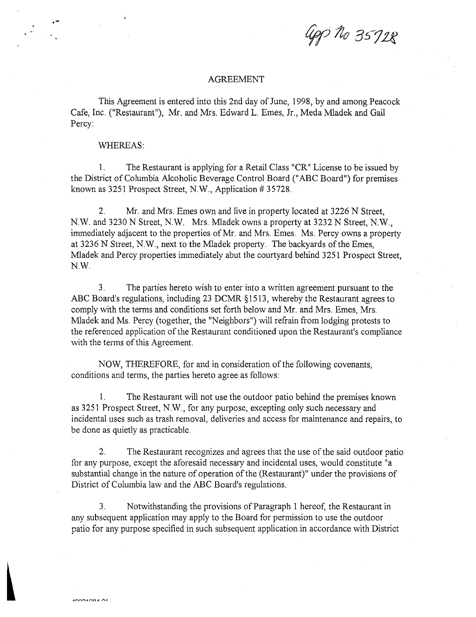Gop No 35728

## AGREEMENT

This Agreement is entered into this 2nd day of June, 1998, by and among Peacock Cafe, Inc. ("Restaurant"), Mr. and Mrs. Edward L. Emes, Jr., Meda Mladek and Gail Percy:

#### WHEREAS:

1. The Restaurant is applying for a Retail Class "CR" License to be issued by the District of Columbia Alcoholic Beverage Control Board ("ABC Board") for premises known as 3251 Prospect Street, N.W., Application # 35728.

2. Mr. and Mrs. Emes own and live in property located at 3226 N Street, N.W. and 3230 N Street, N.W. Mrs. Mladek owns a property at 3232 N Street, N.W., immediately adjacent to the properties of Mr. and Mrs. Emes. Ms. Percy owns a property at 3236 N Street, N.W., next to the Mladek property. The backyards of the Emes, Mladek and Percy properties immediately abut the courtyard behind 3251 Prospect Street, N.W.

3. The parties hereto wish to enter into a written agreement pursuant to the ABC Board's regulations, including 23 DCMR §1513, whereby the Restaurant agrees to comply with the terms and conditions set forth below and Mr. and Mrs. Emes, Mrs. Mladek and Ms. Percy (together, the "Neighbors") will refrain from lodging protests to the referenced application of the Restaurant conditioned upon the Restaurant's compliance with the terms of this Agreement.

NOW, THEREFORE, for and in consideration of the following covenants, conditions and terms, the parties hereto agree as follows:

1. The Restaurant will not use the outdoor patio behind the premises known as 3251 Prospect Street, N.W., for any purpose, excepting only such necessary and incidental uses such as trash removal, deliveries and access for maintenance and repairs, to be done as quietly as practicable.

2. The Restaurant recognizes and agrees that the use of the said outdoor patio for any purpose, except the aforesaid necessary and incidental uses, would constitute" a substantial change in the nature of operation of the (Restaurant)" under the provisions of District of Columbia law and the ABC Board's regulations.

3. Notwithstanding the provisions of Paragraph 1 hereof, the Restaurant in any subsequent application may apply to the Board for permission to use the outdoor patio for any purpose specified in such subsequent application in accordance with District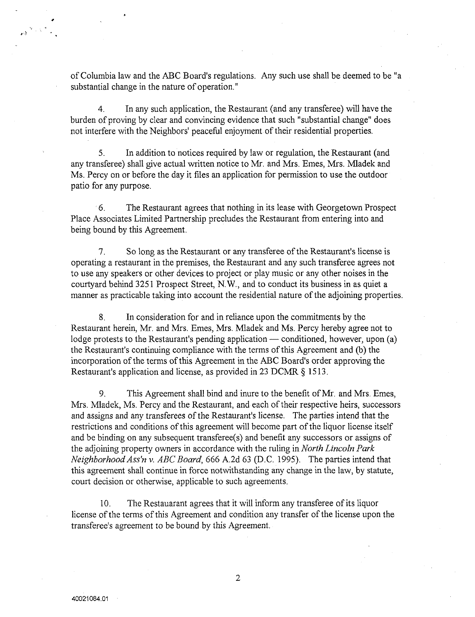of Columbia law and the ABC Board's regulations. Any such use shall be deemed to be "a substantial change in the nature of operation."

4. In any such application, the Restaurant (and any transferee) will have the burden of proving by clear and convincing evidence that such "substantial change" does not interfere with the Neighbors' peaceful enjoyment of their residential properties.

5. In addition to notices required by law or regulation, the Restaurant (and any transferee) shall give actual written notice to Mr. and Mrs. Emes, Mrs. MIadek and Ms. Percy on or before the day it files an application for permission to use the outdoor patio for any purpose.

. 6. The Restaurant agrees that nothing in its lease with Georgetown Prospect Place Associates Limited Partnership precludes the Restaurant from entering into and being bound by this Agreement.

7. So long as the Restaurant or any transferee of the Restaurant's license is operating a restaurant in the premises, the Restaurant and any such transferee agrees not to use any speakers or other devices to project or play music or any other noises in the courtyard behind 3251 Prospect Street, N.W., and to conduct its business in as quiet a manner as practicable taking into account the residential nature of the adjoining properties.

8. In consideration for and in reliance upon the commitments by the Restaurant herein, Mr. and Mrs. Emes, Mrs. MIadek and Ms. Percy hereby agree not to lodge protests to the Restaurant's pending application — conditioned, however, upon  $(a)$ the Restaurant's continuing compliance with the terms of this Agreement and (b) the incorporation of the terms of this Agreement in the ABC Board's order approving the Restaurant's application and license, as provided in 23 DCMR § 15l3.

9. This Agreement shall bind and inure to the benefit of Mr. and Mrs. Emes, Mrs. MIadek, Ms. Percy and the Restaurant, and each of their respective heirs, successors and assigns and any transferees of the Restaurant's license. The parties intend that the restrictions and conditions of this agreement will become part of the liquor license itself and be binding on any subsequent transferee(s) and benefit any successors or assigns of the adjoining property owners in accordance with the ruling in *North Lincoln Park Neighborhood Ass'n v. ABC Board,* 666 A2d 63 (D.C. 1995). The parties intend that this agreement shall continue in force notwithstanding any change in the law, by statute, court decision or otherwise, applicable to such agreements.

10. The Restauarant agrees that it will inform any transferee of its liquor license of the terms of this Agreement and condition any transfer of the license upon the transferee's agreement to be bound by this Agreement.

,,-,~

2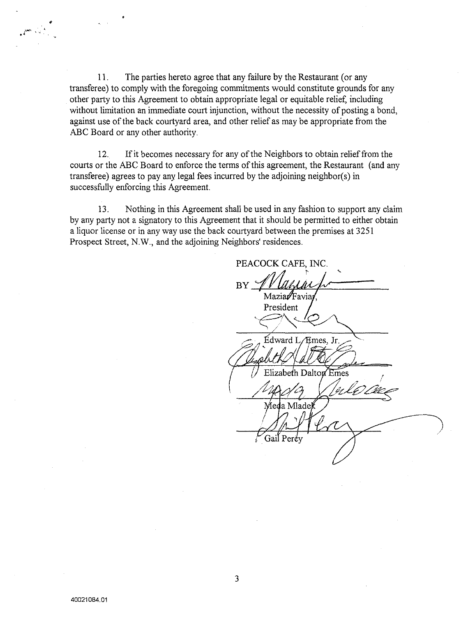11. The parties hereto agree that any failure by the Restaurant (or any transferee) to comply with the foregoing commitments would constitute grounds for any other party to this Agreement to obtain appropriate legal or equitable relief, including without limitation an immediate court injunction, without the necessity of posting a bond, against use of the back courtyard area, and other relief as may be appropriate from the ABC Board or any other authority.

12. If it becomes necessary for any of the Neighbors to obtain relief from the courts or the ABC Board to enforce the terms of this agreement, the Restaurant (and any transferee) agrees to pay any legal fees incurred by the adjoining neighbor(s) in successfully enforcing this Agreement.

13. Nothing in this Agreement shall be used in any fashion to support any claim by any party not a signatory to this Agreement that it should be permitted to either obtain a liquor license or in any way use the back courtyard between the premises at 3251 Prospect Street, N.W., and the adjoining Neighbors' residences.

PEACOCK CAFE, INC. <sup>~</sup>... **BY** Maziar/Favia President Édward L/Emes, Jr. Elizabeth Dalton Emes Meda Mlade Gail Perev

•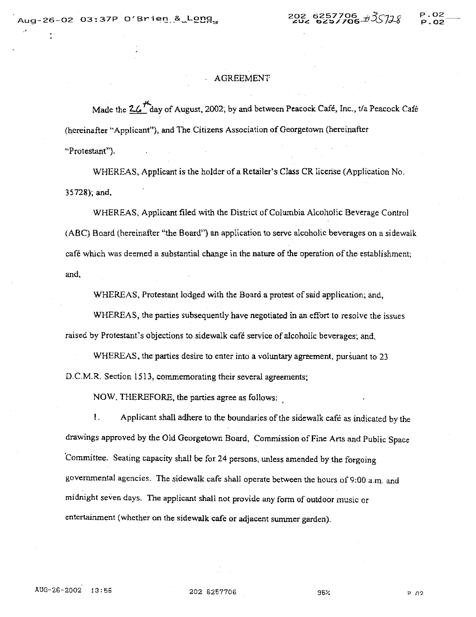.'

# P.02  $P.02$

# AGREEMENT

Made the  $2\frac{1}{2}$ day of August, 2002, by and between Peacock Café, Inc., t/a Peacock Café (hereinafter "Applicant"), and The Citizens Association of Georgetown (hereinafter "Protestant").

WHEREAS, Applicant is the holder of a Retailer's Class CR license (Application No. 35728); and,

WHEREAS. Applicant filed with the District of Columbia Alcoholic Beverage Control (ABC) Board (hereinafter "the Board") an application to serve alcoholic beverages on a sidewalk cafe which was deemed a substantial change in the nature of the operation of the establishment; and,

WHEREAS, Protestant lodged with the Board a protest of said application; and,

WHEREAS, the parties subsequently have negotiated in an effort to resolve the issues raised by Protestant's objections to sidewalk cafe service of alcoholic beverages; and.

WHEREAS, the parties desire to enter into a voluntary agreement, pursuant to 23 D.C.M.R. Section 1513, commemorating their several agreements;

NOW, THEREFORE, the parties agree as follows: .

I. Applicant shall adhere to the boundaries of the sidewalk cafe as indicated by the drawings approved by the Old Georgetown Board, Commission of Fine Arts and Public Space Committee. Seating capacity shall be for 24 persons, unless amended by the forgoing governmental agencies. The sidewalk cafe shall operate between the hours of 9;00 a.m. and midnight seven days. The applicant shall not provide any form of outdoor music or entertainment (whether on the sidewalk cafe or adjacent summer garden).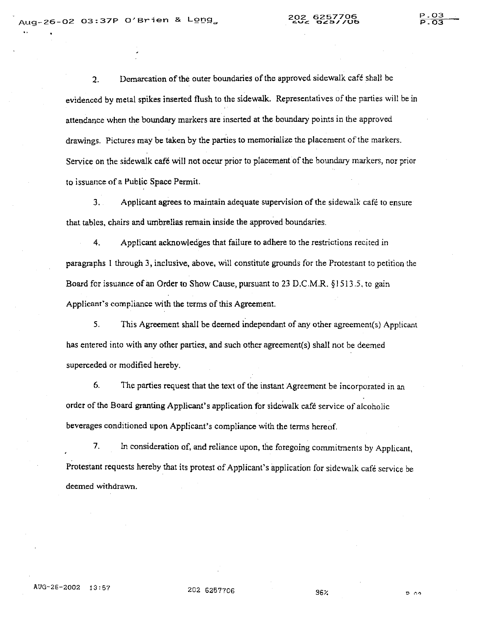P.03  $\frac{P.03}{P.03}$ 

2. Demarcation of the outer boundaries of the approved sidewalk cafe shall be evidenced by metal spikes inserted flush to the sidewalk. Representatives of the parties will be in attendance when the boundary markers are inserted at the boundary points in the approved drawings. Pictures may be taken by the parties to memorialize the placement of the markers. Service on the sidewalk café will not occur prior to placement of the boundary markers, nor prior to issuance of a Public Space Permit.

3. Applicant agrees to maintain adequate supervision of the sidewalk cafe to ensure that tables, chairs and umbrellas remain inside the approved boundaries.

4. Applicant acknowledges that failure to adhere to the restrictions recited in paragraphs I through 3, inclusive, above, will constitute grounds for the Protestant to petition the Board for issuance of an Order to Show Cause, pursuant to 23 D.C.M.R. § 1513.5,10 gain Applicant's compliance with the terms of this Agreement.

5. This Agreement shall be deemed independant of any other agreement(s) Applicant has entered into with any other parties, and such other agreement(s) shall not be deemed superceded or modified hereby.

6. The parties request that the text of the instant Agreement be incorporated in an order of the Board granting Applicant's application for sidewalk cafe service of alcoholic beverages conditioned upon Applicant's compliance with the terms hereof.

7. In consideration of, and reliance upon, the foregoing commitments by Applicant, Protestant requests hereby that its protest of Applicant's application for sidewalk cafe service be deemed withdrawn.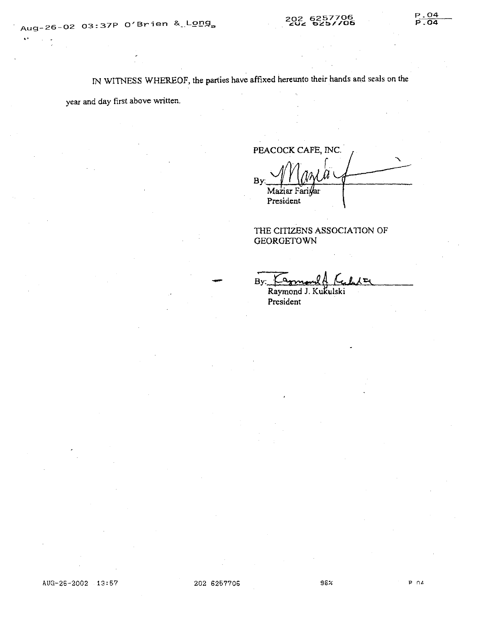IN WITNESS WHEREOF, the parties have affixed hereunto their hands and seals on the

year and day first above written.

PEACOCK CAFE, INC. *r* ...  $Bv$ Maziar Fari*w*ar President

THE CITIZENS ASSOCIATION OF **GEORGETOWN** 

By:  $\frac{\log m}{\log \log \log \log}$ 

Raymond J. Kukulski President

P.04

-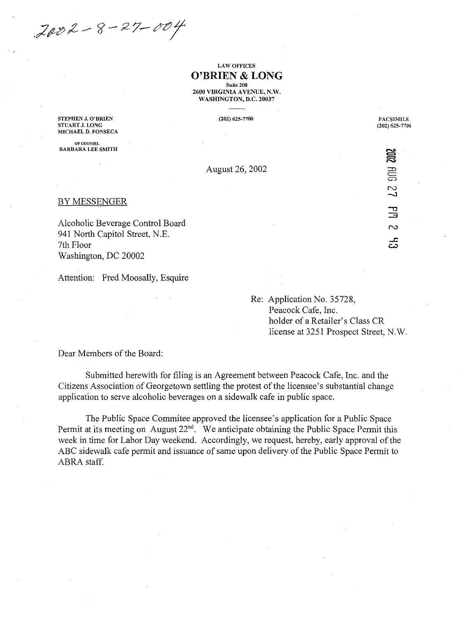$2002 - 8 - 27 - 004$ 

## LAW OFFICES **O'BRIEN & LONG Suite 208**

2600 VIRGINIA AVENUE, N.W. WASHINGTON, D.C. 20037

**STEPHEN J. O'BRIEN STUART J. LONG MICHAEL D. FONSECA** 

OF COUNSEL **BARBARA LEE SMITH**  **(202)** 625~ **7700** 

**FACSIMILE (202)** 625~7706

**FOR 27** 

 $\Xi$  $\sim$ 

 $\vec{5}$ 

August 26, 2002

BY MESSENGER

Alcoholic Beverage Control Board 941 North Capitol Street, N.E. 7th Floor Washington, DC 20002

Attention: Fred Moosally, Esquire

Re: Application No. 35728, Peacock Cafe, Inc. holder of a Retailer's Class CR license at 3251 Prospect Street, N.W.

Dear Members of the Board:

Submitted herewith for filing is an Agreement between Peacock Cafe, Inc. and the Citizens Association of Georgetown settling the protest of the licensee's substantial change application to serve alcoholic beverages on a sidewalk cafe in public space.

The Public Space Commitee approved the licensee's application for a Public Space Permit at its meeting on August  $22<sup>nd</sup>$ . We anticipate obtaining the Public Space Permit this week in time for Labor Day weekend. Accordingly, we request, hereby, early approval of the ABC sidewalk cafe permit and issuance of same upon delivery of the Public Space Permit to ABRA staff.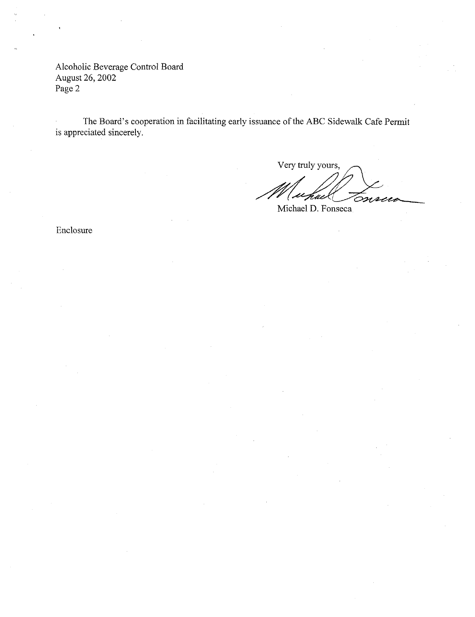Alcoholic Beverage Control Board August 26, 2002 Page 2

The Board's cooperation **in** facilitating early issuance of the ABC Sidewalk Cafe Pennit is appreciated sincerely.

Very truly yours, Very truly yours,<br>Meenal D. Fonseca

Enclosure